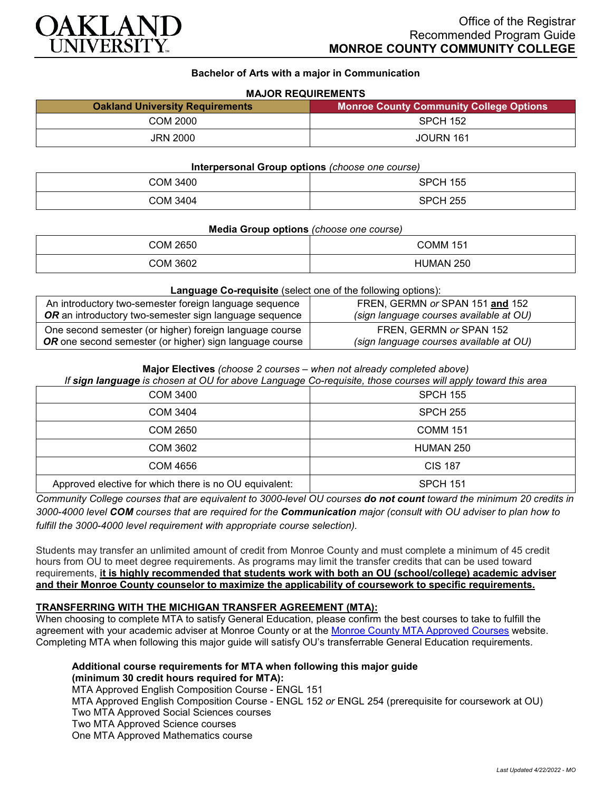

## **Bachelor of Arts with a major in Communication**

## **MAJOR REQUIREMENTS**

| <b>Oakland University Requirements</b> | <b>Monroe County Community College Options</b> |
|----------------------------------------|------------------------------------------------|
| COM 2000                               | <b>SPCH 152</b>                                |
| <b>JRN 2000</b>                        | JOURN 161                                      |

#### **Interpersonal Group options** *(choose one course)*

| COM 3400 | <b>SPCH 155</b> |
|----------|-----------------|
| COM 3404 | <b>SPCH 255</b> |

#### **Media Group options** *(choose one course)*

| COM 2650 | COMM 151  |
|----------|-----------|
| COM 3602 | HUMAN 250 |

#### **Language Co-requisite** (select one of the following options):

| An introductory two-semester foreign language sequence  | FREN, GERMN or SPAN 151 and 152         |
|---------------------------------------------------------|-----------------------------------------|
| OR an introductory two-semester sign language sequence  | (sign language courses available at OU) |
| One second semester (or higher) foreign language course | FREN, GERMN or SPAN 152                 |
| OR one second semester (or higher) sign language course | (sign language courses available at OU) |

#### **Major Electives** *(choose 2 courses – when not already completed above)*

*If sign language is chosen at OU for above Language Co-requisite, those courses will apply toward this area* 

| <b>COM 3400</b>                                        | <b>SPCH 155</b> |
|--------------------------------------------------------|-----------------|
| COM 3404                                               | <b>SPCH 255</b> |
| COM 2650                                               | <b>COMM 151</b> |
| COM 3602                                               | HUMAN 250       |
| COM 4656                                               | <b>CIS 187</b>  |
| Approved elective for which there is no OU equivalent: | <b>SPCH 151</b> |

*Community College courses that are equivalent to 3000-level OU courses do not count toward the minimum 20 credits in 3000-4000 level COM courses that are required for the Communication major (consult with OU adviser to plan how to fulfill the 3000-4000 level requirement with appropriate course selection).*

Students may transfer an unlimited amount of credit from Monroe County and must complete a minimum of 45 credit hours from OU to meet degree requirements. As programs may limit the transfer credits that can be used toward requirements, **it is highly recommended that students work with both an OU (school/college) academic adviser and their Monroe County counselor to maximize the applicability of coursework to specific requirements.**

### **TRANSFERRING WITH THE MICHIGAN TRANSFER AGREEMENT (MTA):**

When choosing to complete MTA to satisfy General Education, please confirm the best courses to take to fulfill the agreement with your academic adviser at Monroe County or at the [Monroe County MTA Approved Courses](https://www.monroeccc.edu/transfer/michigan-transfer-agreement) website. Completing MTA when following this major guide will satisfy OU's transferrable General Education requirements.

# **Additional course requirements for MTA when following this major guide (minimum 30 credit hours required for MTA):**

MTA Approved English Composition Course - ENGL 151 MTA Approved English Composition Course - ENGL 152 *or* ENGL 254 (prerequisite for coursework at OU) Two MTA Approved Social Sciences courses Two MTA Approved Science courses One MTA Approved Mathematics course